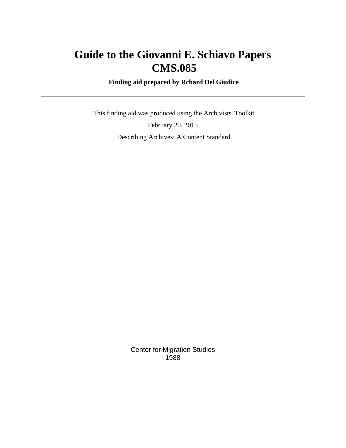# **Guide to the Giovanni E. Schiavo Papers CMS.085**

 **Finding aid prepared by Rchard Del Giudice**

 This finding aid was produced using the Archivists' Toolkit February 20, 2015 Describing Archives: A Content Standard

> Center for Migration Studies 1988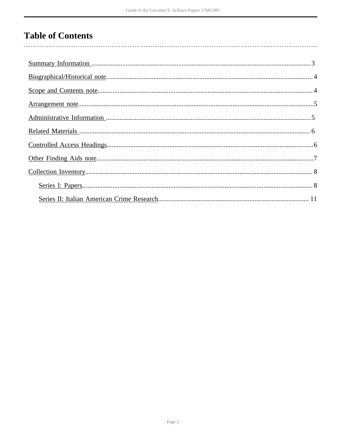# **Table of Contents**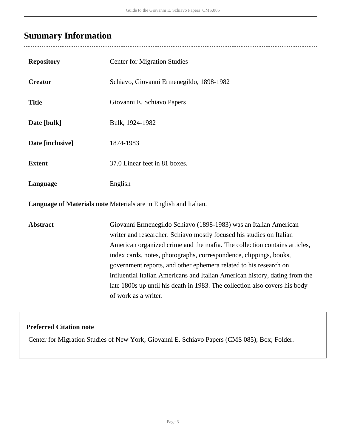# <span id="page-2-0"></span>**Summary Information**

 $\overline{a}$ 

| <b>Repository</b>                                                       | <b>Center for Migration Studies</b>                                                                                                                                                                                                                                                                                                                                                                                                                                                                                                                   |  |
|-------------------------------------------------------------------------|-------------------------------------------------------------------------------------------------------------------------------------------------------------------------------------------------------------------------------------------------------------------------------------------------------------------------------------------------------------------------------------------------------------------------------------------------------------------------------------------------------------------------------------------------------|--|
| <b>Creator</b>                                                          | Schiavo, Giovanni Ermenegildo, 1898-1982                                                                                                                                                                                                                                                                                                                                                                                                                                                                                                              |  |
| <b>Title</b>                                                            | Giovanni E. Schiavo Papers                                                                                                                                                                                                                                                                                                                                                                                                                                                                                                                            |  |
| Date [bulk]                                                             | Bulk, 1924-1982                                                                                                                                                                                                                                                                                                                                                                                                                                                                                                                                       |  |
| Date [inclusive]                                                        | 1874-1983                                                                                                                                                                                                                                                                                                                                                                                                                                                                                                                                             |  |
| <b>Extent</b>                                                           | 37.0 Linear feet in 81 boxes.                                                                                                                                                                                                                                                                                                                                                                                                                                                                                                                         |  |
| Language                                                                | English                                                                                                                                                                                                                                                                                                                                                                                                                                                                                                                                               |  |
| <b>Language of Materials note Materials are in English and Italian.</b> |                                                                                                                                                                                                                                                                                                                                                                                                                                                                                                                                                       |  |
| <b>Abstract</b>                                                         | Giovanni Ermenegildo Schiavo (1898-1983) was an Italian American<br>writer and researcher. Schiavo mostly focused his studies on Italian<br>American organized crime and the mafia. The collection contains articles,<br>index cards, notes, photographs, correspondence, clippings, books,<br>government reports, and other ephemera related to his research on<br>influential Italian Americans and Italian American history, dating from the<br>late 1800s up until his death in 1983. The collection also covers his body<br>of work as a writer. |  |

### **Preferred Citation note**

Center for Migration Studies of New York; Giovanni E. Schiavo Papers (CMS 085); Box; Folder.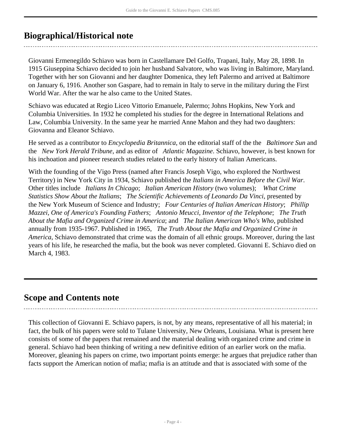# <span id="page-3-0"></span>**Biographical/Historical note**

Giovanni Ermenegildo Schiavo was born in Castellamare Del Golfo, Trapani, Italy, May 28, 1898. In 1915 Giuseppina Schiavo decided to join her husband Salvatore, who was living in Baltimore, Maryland. Together with her son Giovanni and her daughter Domenica, they left Palermo and arrived at Baltimore on January 6, 1916. Another son Gaspare, had to remain in Italy to serve in the military during the First World War. After the war he also came to the United States.

Schiavo was educated at Regio Liceo Vittorio Emanuele, Palermo; Johns Hopkins, New York and Columbia Universities. In 1932 he completed his studies for the degree in International Relations and Law, Columbia University. In the same year he married Anne Mahon and they had two daughters: Giovanna and Eleanor Schiavo.

He served as a contributor to *Encyclopedia Britannica*, on the editorial staff of the the *Baltimore Sun* and the *New York Herald Tribune*, and as editor of *Atlantic Magazine*. Schiavo, however, is best known for his inchoation and pioneer research studies related to the early history of Italian Americans.

With the founding of the Vigo Press (named after Francis Joseph Vigo, who explored the Northwest Territory) in New York City in 1934, Schiavo published the *Italians in America Before the Civil War*. Other titles include *Italians In Chicago*; *Italian American History* (two volumes); *What Crime Statistics Show About the Italians*; *The Scientific Achievements of Leonardo Da Vinci*, presented by the New York Museum of Science and Industry; *Four Centuries of Italian American History*; *Phillip Mazzei, One of America's Founding Fathers*; *Antonio Meucci, Inventor of the Telephone*; *The Truth About the Mafia and Organized Crime in America*; and *The Italian American Who's Who*, published annually from 1935-1967. Published in 1965, *The Truth About the Mafia and Organized Crime in America*, Schiavo demonstrated that crime was the domain of all ethnic groups. Moreover, during the last years of his life, he researched the mafia, but the book was never completed. Giovanni E. Schiavo died on March 4, 1983.

# <span id="page-3-1"></span>**Scope and Contents note**

This collection of Giovanni E. Schiavo papers, is not, by any means, representative of all his material; in fact, the bulk of his papers were sold to Tulane University, New Orleans, Louisiana. What is present here consists of some of the papers that remained and the material dealing with organized crime and crime in general. Schiavo had been thinking of writing a new definitive edition of an earlier work on the mafia. Moreover, gleaning his papers on crime, two important points emerge: he argues that prejudice rather than facts support the American notion of mafia; mafia is an attitude and that is associated with some of the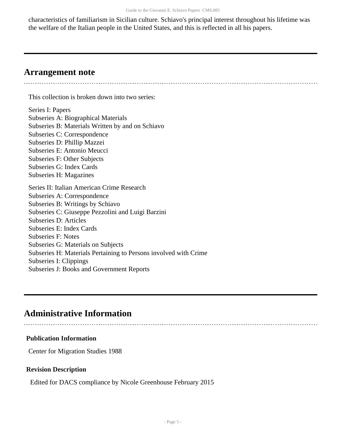characteristics of familiarism in Sicilian culture. Schiavo's principal interest throughout his lifetime was the welfare of the Italian people in the United States, and this is reflected in all his papers.

### <span id="page-4-0"></span>**Arrangement note**

This collection is broken down into two series:

Series I: Papers Subseries A: Biographical Materials Subseries B: Materials Written by and on Schiavo Subseries C: Correspondence Subseries D: Phillip Mazzei Subseries E: Antonio Meucci Subseries F: Other Subjects Subseries G: Index Cards Subseries H: Magazines Series II: Italian American Crime Research Subseries A: Correspondence Subseries B: Writings by Schiavo Subseries C: Giuseppe Pezzolini and Luigi Barzini Subseries D: Articles Subseries E: Index Cards Subseries F: Notes Subseries G: Materials on Subjects Subseries H: Materials Pertaining to Persons involved with Crime Subseries I: Clippings Subseries J: Books and Government Reports

## <span id="page-4-1"></span>**Administrative Information**

### **Publication Information**

Center for Migration Studies 1988

### **Revision Description**

Edited for DACS compliance by Nicole Greenhouse February 2015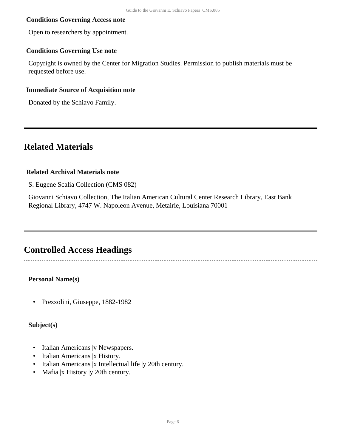### **Conditions Governing Access note**

Open to researchers by appointment.

### **Conditions Governing Use note**

Copyright is owned by the Center for Migration Studies. Permission to publish materials must be requested before use.

### **Immediate Source of Acquisition note**

Donated by the Schiavo Family.

### <span id="page-5-0"></span>**Related Materials**

### **Related Archival Materials note**

S. Eugene Scalia Collection (CMS 082)

Giovanni Schiavo Collection, The Italian American Cultural Center Research Library, East Bank Regional Library, 4747 W. Napoleon Avenue, Metairie, Louisiana 70001

### <span id="page-5-1"></span>**Controlled Access Headings**

**Personal Name(s)**

• Prezzolini, Giuseppe, 1882-1982

**Subject(s)**

- Italian Americans | v Newspapers.
- Italian Americans |x History.
- Italian Americans |x Intellectual life |y 20th century.
- Mafia |x History |y 20th century.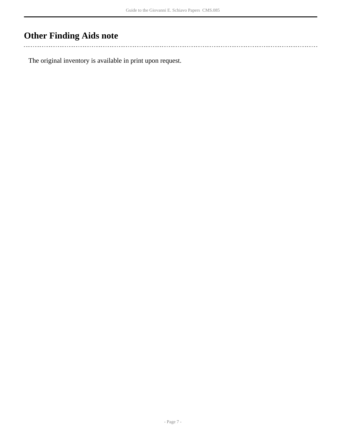# <span id="page-6-0"></span>**Other Finding Aids note**

 $\mathbb{R}^2$ 

The original inventory is available in print upon request.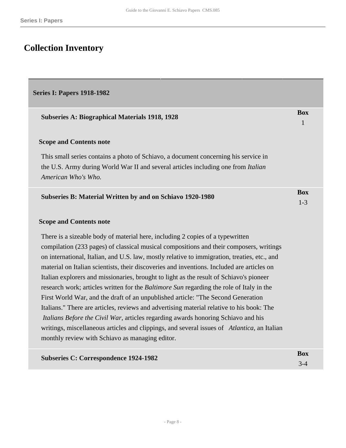# <span id="page-7-0"></span>**Collection Inventory**

### <span id="page-7-1"></span>**Series I: Papers 1918-1982**

| <b>Subseries A: Biographical Materials 1918, 1928</b>                                                                                                                                           | <b>Box</b><br>$\mathbf{1}$ |
|-------------------------------------------------------------------------------------------------------------------------------------------------------------------------------------------------|----------------------------|
| <b>Scope and Contents note</b>                                                                                                                                                                  |                            |
| This small series contains a photo of Schiavo, a document concerning his service in<br>the U.S. Army during World War II and several articles including one from Italian<br>American Who's Who. |                            |
| Subseries B: Material Written by and on Schiavo 1920-1980                                                                                                                                       | <b>Box</b><br>$1 - 3$      |
| <b>Scope and Contents note</b>                                                                                                                                                                  |                            |
| There is a sizeable body of material here, including 2 copies of a typewritten                                                                                                                  |                            |
| compilation (233 pages) of classical musical compositions and their composers, writings                                                                                                         |                            |
| on international, Italian, and U.S. law, mostly relative to immigration, treaties, etc., and                                                                                                    |                            |
| material on Italian scientists, their discoveries and inventions. Included are articles on                                                                                                      |                            |
| Italian explorers and missionaries, brought to light as the result of Schiavo's pioneer                                                                                                         |                            |
| research work; articles written for the Baltimore Sun regarding the role of Italy in the                                                                                                        |                            |
| First World War, and the draft of an unpublished article: "The Second Generation                                                                                                                |                            |
| Italians." There are articles, reviews and advertising material relative to his book: The                                                                                                       |                            |
| Italians Before the Civil War, articles regarding awards honoring Schiavo and his                                                                                                               |                            |
| writings, miscellaneous articles and clippings, and several issues of Atlantica, an Italian<br>monthly review with Schiavo as managing editor.                                                  |                            |
|                                                                                                                                                                                                 |                            |
| <b>Subseries C: Correspondence 1924-1982</b>                                                                                                                                                    | <b>Box</b>                 |

3-4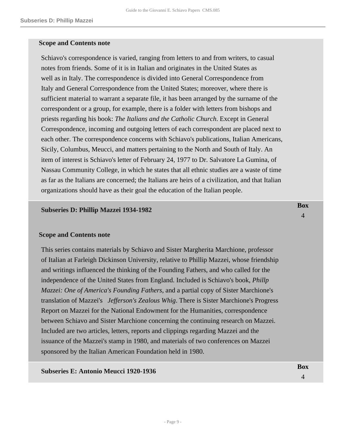### **Scope and Contents note**

Schiavo's correspondence is varied, ranging from letters to and from writers, to casual notes from friends. Some of it is in Italian and originates in the United States as well as in Italy. The correspondence is divided into General Correspondence from Italy and General Correspondence from the United States; moreover, where there is sufficient material to warrant a separate file, it has been arranged by the surname of the correspondent or a group, for example, there is a folder with letters from bishops and priests regarding his book: *The Italians and the Catholic Church*. Except in General Correspondence, incoming and outgoing letters of each correspondent are placed next to each other. The correspondence concerns with Schiavo's publications, Italian Americans, Sicily, Columbus, Meucci, and matters pertaining to the North and South of Italy. An item of interest is Schiavo's letter of February 24, 1977 to Dr. Salvatore La Gumina, of Nassau Community College, in which he states that all ethnic studies are a waste of time as far as the Italians are concerned; the Italians are heirs of a civilization, and that Italian organizations should have as their goal the education of the Italian people.

#### **Subseries D: Phillip Mazzei 1934-1982**

### **Scope and Contents note**

This series contains materials by Schiavo and Sister Margherita Marchione, professor of Italian at Farleigh Dickinson University, relative to Phillip Mazzei, whose friendship and writings influenced the thinking of the Founding Fathers, and who called for the independence of the United States from England. Included is Schiavo's book, *Phillp Mazzei: One of America's Founding Fathers*, and a partial copy of Sister Marchione's translation of Mazzei's *Jefferson's Zealous Whig*. There is Sister Marchione's Progress Report on Mazzei for the National Endowment for the Humanities, correspondence between Schiavo and Sister Marchione concerning the continuing research on Mazzei. Included are two articles, letters, reports and clippings regarding Mazzei and the issuance of the Mazzei's stamp in 1980, and materials of two conferences on Mazzei sponsored by the Italian American Foundation held in 1980.

## **Subseries E: Antonio Meucci 1920-1936 Box**

**Box** 4

4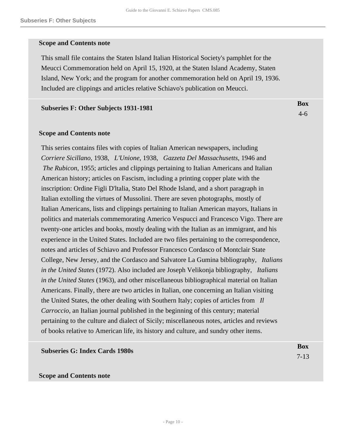### **Scope and Contents note**

This small file contains the Staten Island Italian Historical Society's pamphlet for the Meucci Commemoration held on April 15, 1920, at the Staten Island Academy, Staten Island, New York; and the program for another commemoration held on April 19, 1936. Included are clippings and articles relative Schiavo's publication on Meucci.

> **Box** 4-6

#### **Subseries F: Other Subjects 1931-1981**

### **Scope and Contents note**

This series contains files with copies of Italian American newspapers, including *Corriere Sicillano*, 1938, *L'Unione*, 1938, *Gazzeta Del Massachusetts*, 1946 and  *The Rubicon*, 1955; articles and clippings pertaining to Italian Americans and Italian American history; articles on Fascism, including a printing copper plate with the inscription: Ordine Figli D'ltalia, Stato Del Rhode Island, and a short paragraph in Italian extolling the virtues of Mussolini. There are seven photographs, mostly of Italian Americans, lists and clippings pertaining to Italian American mayors, Italians in politics and materials commemorating Americo Vespucci and Francesco Vigo. There are twenty-one articles and books, mostly dealing with the Italian as an immigrant, and his experience in the United States. Included are two files pertaining to the correspondence, notes and articles of Schiavo and Professor Francesco Cordasco of Montclair State College, New Jersey, and the Cordasco and Salvatore La Gumina bibliography, *Italians in the United States* (1972). Also included are Joseph Velikonja bibliography, *Italians in the United States* (1963), and other miscellaneous bibliographical material on Italian Americans. Finally, there are two articles in Italian, one concerning an Italian visiting the United States, the other dealing with Southern Italy; copies of articles from *Il Carroccio*, an Italian journal published in the beginning of this century; material pertaining to the culture and dialect of Sicily; miscellaneous notes, articles and reviews of books relative to American life, its history and culture, and sundry other items.

| <b>Subseries G: Index Cards 1980s</b> | Box      |
|---------------------------------------|----------|
|                                       | $7 - 13$ |

### **Scope and Contents note**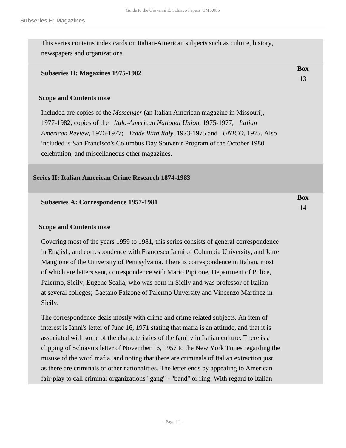**Box** 13

This series contains index cards on Italian-American subjects such as culture, history, newspapers and organizations.

### **Subseries H: Magazines 1975-1982**

### **Scope and Contents note**

Included are copies of the *Messenger* (an Italian American magazine in Missouri), 1977-1982; copies of the *Italo-American National Union*, 1975-1977; *Italian American Review*, 1976-1977; *Trade With Italy*, 1973-1975 and *UNICO*, 1975. Also included is San Francisco's Columbus Day Souvenir Program of the October 1980 celebration, and miscellaneous other magazines.

### <span id="page-10-0"></span>**Series II: Italian American Crime Research 1874-1983**

| <b>Subseries A: Correspondence 1957-1981</b> | Box |
|----------------------------------------------|-----|
|                                              |     |

### **Scope and Contents note**

Covering most of the years 1959 to 1981, this series consists of general correspondence in English, and correspondence with Francesco Ianni of Columbia University, and Jerre Mangione of the University of Pennsylvania. There is correspondence in Italian, most of which are letters sent, correspondence with Mario Pipitone, Department of Police, Palermo, Sicily; Eugene Scalia, who was born in Sicily and was professor of Italian at several colleges; Gaetano Falzone of Palermo Unversity and Vincenzo Martinez in Sicily.

The correspondence deals mostly with crime and crime related subjects. An item of interest is Ianni's letter of June 16, 1971 stating that mafia is an attitude, and that it is associated with some of the characteristics of the family in Italian culture. There is a clipping of Schiavo's letter of November 16, 1957 to the New York Times regarding the misuse of the word mafia, and noting that there are criminals of Italian extraction just as there are criminals of other nationalities. The letter ends by appealing to American fair-play to call criminal organizations "gang" - "band" or ring. With regard to Italian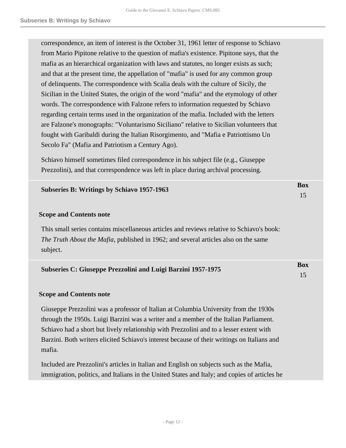correspondence, an item of interest is the October 31, 1961 letter of response to Schiavo from Mario Pipitone relative to the question of mafia's existence. Pipitone says, that the mafia as an hierarchical organization with laws and statutes, no longer exists as such; and that at the present time, the appellation of "mafia" is used for any common group of delinquents. The correspondence with Scalia deals with the culture of Sicily, the Sicilian in the United States, the origin of the word "mafia" and the etymology of other words. The correspondence with Falzone refers to information requested by Schiavo regarding certain terms used in the organization of the mafia. Included with the letters are Falzone's monographs: "Voluntarismo Siciliano" relative to Sicilian volunteers that fought with Garibaldi during the Italian Risorgimento, and "Mafia e Patriottismo Un Secolo Fa" (Mafia and Patriotism a Century Ago).

Schiavo himself sometimes filed correspondence in his subject file (e.g., Giuseppe Prezzolini), and that correspondence was left in place during archival processing.

| Subseries B: Writings by Schiavo 1957-1963 | Box |
|--------------------------------------------|-----|
|                                            |     |

### **Scope and Contents note**

This small series contains miscellaneous articles and reviews relative to Schiavo's book: *The Truth About the Mafia*, published in 1962; and several articles also on the same subject.

| <b>Subseries C: Giuseppe Prezzolini and Luigi Barzini 1957-1975</b> | Box |
|---------------------------------------------------------------------|-----|
|                                                                     |     |

#### **Scope and Contents note**

Giuseppe Prezzolini was a professor of Italian at Columbia University from the 1930s through the 1950s. Luigi Barzini was a writer and a member of the Italian Parliament. Schiavo had a short but lively relationship with Prezzolini and to a lesser extent with Barzini. Both writers elicited Schiavo's interest because of their writings on Italians and mafia.

Included are Prezzolini's articles in Italian and English on subjects such as the Mafia, immigration, politics, and Italians in the United States and Italy; and copies of articles he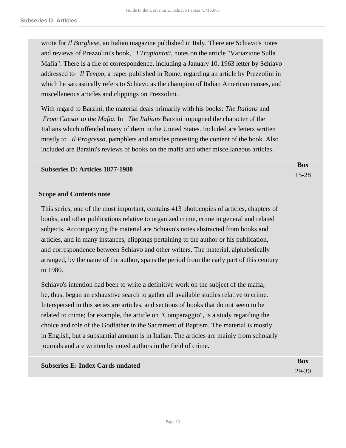wrote for *Il Borghese*, an Italian magazine published in Italy. There are Schiavo's notes and reviews of Prezzolini's book, *I Trapiantati*, notes on the article "Variazione Sulla Mafia". There is a file of correspondence, including a January 10, 1963 letter by Schiavo addressed to *Il Tempo*, a paper published in Rome, regarding an article by Prezzolini in which he sarcastically refers to Schiavo as the champion of Italian American causes, and miscellaneous articles and clippings on Prezzolini.

With regard to Barzini, the material deals primarily with his books: *The Italians* and  *From Caesar to the Mafia*. In *The Italians* Barzini impugned the character of the Italians which offended many of them in the United States. Included are letters written mostly to *Il Progresso*, pamphlets and articles protesting the content of the book. Also included are Barzini's reviews of books on the mafia and other miscellaneous articles.

> **Box** 15-28

### **Subseries D: Articles 1877-1980**

#### **Scope and Contents note**

This series, one of the most important, contains 413 photocopies of articles, chapters of books, and other publications relative to organized crime, crime in general and related subjects. Accompanying the material are Schiavo's notes abstracted from books and articles, and in many instances, clippings pertaining to the author or his publication, and correspondence between Schiavo and other writers. The material, alphabetically arranged, by the name of the author, spans the period from the early part of this century to 1980.

Schiavo's intention had been to write a definitive work on the subject of the mafia; he, thus, began an exhaustive search to gather all available studies relative to crime. Interspersed in this series are articles, and sections of books that do not seem to be related to crime; for example, the article on "Comparaggio", is a study regarding the choice and role of the Godfather in the Sacrament of Baptism. The material is mostly in English, but a substantial amount is in Italian. The articles are mainly from scholarly journals and are written by noted authors in the field of crime.

| <b>Subseries E: Index Cards undated</b> | Box       |
|-----------------------------------------|-----------|
|                                         | $29 - 30$ |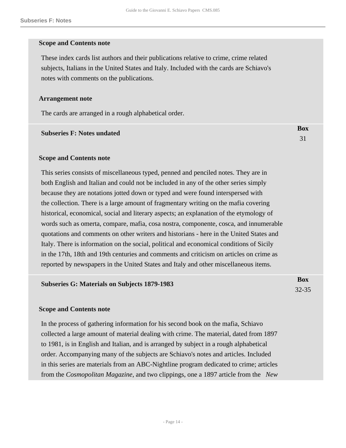### **Scope and Contents note**

These index cards list authors and their publications relative to crime, crime related subjects, Italians in the United States and Italy. Included with the cards are Schiavo's notes with comments on the publications.

### **Arrangement note**

The cards are arranged in a rough alphabetical order.

#### **Subseries F: Notes undated**

31

**Box**

### **Scope and Contents note**

This series consists of miscellaneous typed, penned and penciled notes. They are in both English and Italian and could not be included in any of the other series simply because they are notations jotted down or typed and were found interspersed with the collection. There is a large amount of fragmentary writing on the mafia covering historical, economical, social and literary aspects; an explanation of the etymology of words such as omerta, compare, mafia, cosa nostra, componente, cosca, and innumerable quotations and comments on other writers and historians - here in the United States and Italy. There is information on the social, political and economical conditions of Sicily in the 17th, 18th and 19th centuries and comments and criticism on articles on crime as reported by newspapers in the United States and Italy and other miscellaneous items.

| <b>Subseries G: Materials on Subjects 1879-1983</b> | Box       |
|-----------------------------------------------------|-----------|
|                                                     | $32 - 35$ |

### **Scope and Contents note**

In the process of gathering information for his second book on the mafia, Schiavo collected a large amount of material dealing with crime. The material, dated from 1897 to 1981, is in English and Italian, and is arranged by subject in a rough alphabetical order. Accompanying many of the subjects are Schiavo's notes and articles. Included in this series are materials from an ABC-Nightline program dedicated to crime; articles from the *Cosmopolitan Magazine*, and two clippings, one a 1897 article from the *New*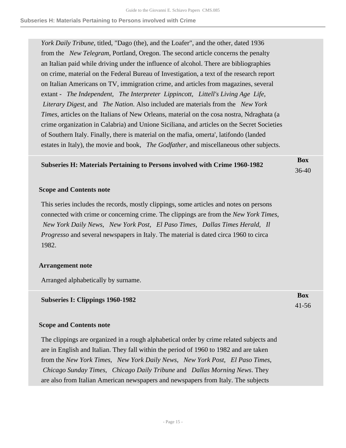*York Daily Tribune*, titled, "Dago (the), and the Loafer", and the other, dated 1936 from the *New Telegram*, Portland, Oregon. The second article concerns the penalty an Italian paid while driving under the influence of alcohol. There are bibliographies on crime, material on the Federal Bureau of Investigation, a text of the research report on Italian Americans on TV, immigration crime, and articles from magazines, several extant - *The Independent*, *The Interpreter Lippincott*, *Littell's Living Age Life*,  *Literary Digest*, and *The Nation*. Also included are materials from the *New York Times*, articles on the Italians of New Orleans, material on the cosa nostra, Ndraghata (a crime organization in Calabria) and Unione Siciliana, and articles on the Secret Societies of Southern Italy. Finally, there is material on the mafia, omerta', latifondo (landed estates in Italy), the movie and book, *The Godfather*, and miscellaneous other subjects.

#### **Subseries H: Materials Pertaining to Persons involved with Crime 1960-1982 Box** 36-40

**Box** 41-56

### **Scope and Contents note**

This series includes the records, mostly clippings, some articles and notes on persons connected with crime or concerning crime. The clippings are from the *New York Times*,  *New York Daily News*, *New York Post*, *El Paso Times*, *Dallas Times Herald*, *Il Progresso* and several newspapers in Italy. The material is dated circa 1960 to circa 1982.

### **Arrangement note**

Arranged alphabetically by surname.

### **Subseries I: Clippings 1960-1982**

### **Scope and Contents note**

The clippings are organized in a rough alphabetical order by crime related subjects and are in English and Italian. They fall within the period of 1960 to 1982 and are taken from the *New York Times*, *New York Daily News*, *New York Post*, *El Paso Times*,  *Chicago Sunday Times*, *Chicago Daily Tribune* and *Dallas Morning News*. They are also from Italian American newspapers and newspapers from Italy. The subjects